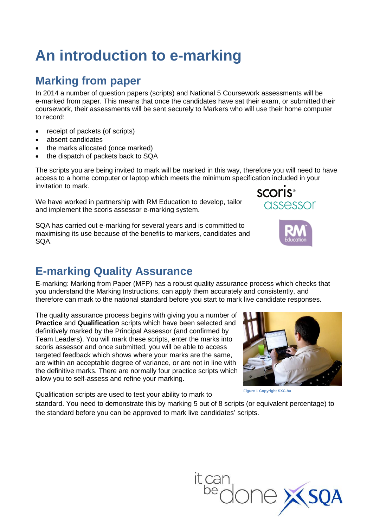# **An introduction to e-marking**

## **Marking from paper**

In 2014 a number of question papers (scripts) and National 5 Coursework assessments will be e-marked from paper. This means that once the candidates have sat their exam, or submitted their coursework, their assessments will be sent securely to Markers who will use their home computer to record:

- receipt of packets (of scripts)
- absent candidates
- the marks allocated (once marked)
- the dispatch of packets back to SQA

The scripts you are being invited to mark will be marked in this way, therefore you will need to have access to a home computer or laptop which meets the minimum specification included in your invitation to mark.

We have worked in partnership with RM Education to develop, tailor and implement the scoris assessor e-marking system.

SQA has carried out e-marking for several years and is committed to maximising its use because of the benefits to markers, candidates and SQA.

### **SCOLIS®** assessor



### **E-marking Quality Assurance**

E-marking: Marking from Paper (MFP) has a robust quality assurance process which checks that you understand the Marking Instructions, can apply them accurately and consistently, and therefore can mark to the national standard before you start to mark live candidate responses.

The quality assurance process begins with giving you a number of **Practice** and **Qualification** scripts which have been selected and definitively marked by the Principal Assessor (and confirmed by Team Leaders). You will mark these scripts, enter the marks into scoris assessor and once submitted, you will be able to access targeted feedback which shows where your marks are the same, are within an acceptable degree of variance, or are not in line with the definitive marks. There are normally four practice scripts which allow you to self-assess and refine your marking.

Qualification scripts are used to test your ability to mark to

**Figure 1 Copyright SXC.hu**

standard. You need to demonstrate this by marking 5 out of 8 scripts (or equivalent percentage) to the standard before you can be approved to mark live candidates' scripts.